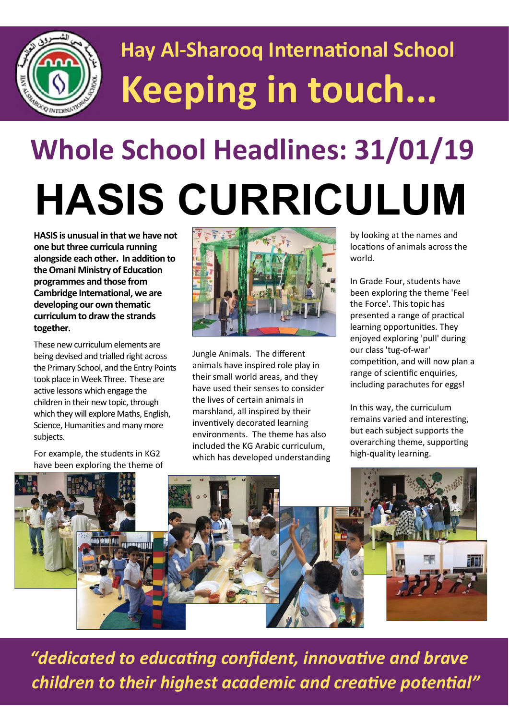

## **Hay Al-Sharooq International School Keeping in touch...**

# **Whole School Headlines: 31/01/19 HASIS CURRICULUM**

**HASIS is unusual in that we have not one but three curricula running alongside each other. In addition to the Omani Ministry of Education programmes and those from Cambridge International, we are developing our own thematic curriculum to draw the strands together.**

These new curriculum elements are being devised and trialled right across the Primary School, and the Entry Points took place in Week Three. These are active lessons which engage the children in their new topic, through which they will explore Maths, English, Science, Humanities and many more subjects.

For example, the students in KG2 have been exploring the theme of



Jungle Animals. The different animals have inspired role play in their small world areas, and they have used their senses to consider the lives of certain animals in marshland, all inspired by their inventively decorated learning environments. The theme has also included the KG Arabic curriculum, which has developed understanding

by looking at the names and locations of animals across the world.

In Grade Four, students have been exploring the theme 'Feel the Force'. This topic has presented a range of practical learning opportunities. They enjoyed exploring 'pull' during our class 'tug-of-war' competition, and will now plan a range of scientific enquiries, including parachutes for eggs!

In this way, the curriculum remains varied and interesting, but each subject supports the overarching theme, supporting high-quality learning.



 *"dedicated to educating confident, innovative and brave children to their highest academic and creative potential"*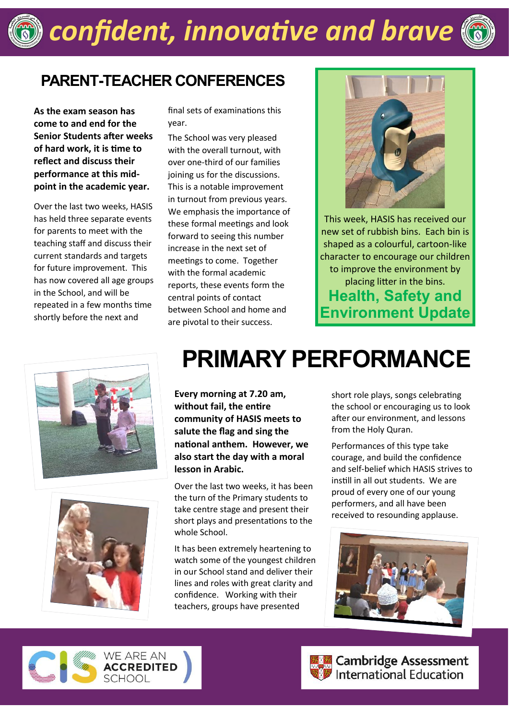### *confident, innovative and brave*



#### **PARENT-TEACHER CONFERENCES**

**As the exam season has come to and end for the Senior Students after weeks of hard work, it is time to reflect and discuss their performance at this midpoint in the academic year.**

Over the last two weeks, HASIS has held three separate events for parents to meet with the teaching staff and discuss their current standards and targets for future improvement. This has now covered all age groups in the School, and will be repeated in a few months time shortly before the next and

final sets of examinations this year.

The School was very pleased with the overall turnout, with over one-third of our families joining us for the discussions. This is a notable improvement in turnout from previous years. We emphasis the importance of these formal meetings and look forward to seeing this number increase in the next set of meetings to come. Together with the formal academic reports, these events form the central points of contact between School and home and are pivotal to their success.



This week, HASIS has received our new set of rubbish bins. Each bin is shaped as a colourful, cartoon-like character to encourage our children to improve the environment by placing litter in the bins. **Health, Safety and Environment Update**





### **PRIMARY PERFORMANCE**

**Every morning at 7.20 am, without fail, the entire community of HASIS meets to salute the flag and sing the national anthem. However, we also start the day with a moral lesson in Arabic.**

Over the last two weeks, it has been the turn of the Primary students to take centre stage and present their short plays and presentations to the whole School.

It has been extremely heartening to watch some of the youngest children in our School stand and deliver their lines and roles with great clarity and confidence. Working with their teachers, groups have presented

short role plays, songs celebrating the school or encouraging us to look after our environment, and lessons from the Holy Quran.

Performances of this type take courage, and build the confidence and self-belief which HASIS strives to instill in all out students. We are proud of every one of our young performers, and all have been received to resounding applause.







**Cambridge Assessment**<br>Dinternational Education